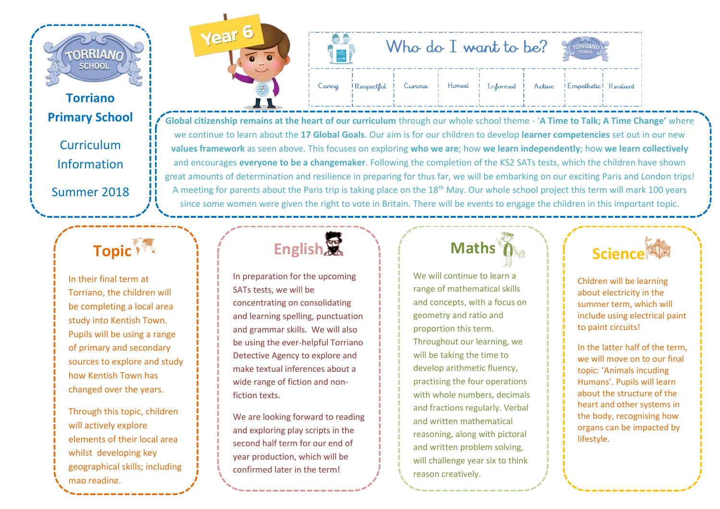

#### **Torriano Primary School**

**Curriculum** Information

Summer 2018

#### **Topic**<sup>1</sup>

Torriano, the children will be completing a local area study into Kentish Town. Pupils will be using a range of primary and secondary sources to explore and study how Kentish Town has changed over the years.

Through this topic, children will actively explore elements of their local area whilst developing key geographical skills; including map reading.



|        | Who do $I$ want to be? |  |                                                                            |
|--------|------------------------|--|----------------------------------------------------------------------------|
| Caring |                        |  | Respectful   Curious   Honest   Informed   Active   Empathetic   Resilient |

**Global citizenship remains at the heart of our curriculum** through our whole school theme - '**A Time to Talk; A Time Change'** where we continue to learn about the **17 Global Goals**. Our aim is for our children to develop **learner competencies** set out in our new **values framework** as seen above. This focuses on exploring **who we are**; how **we learn independently**; how **we learn collectively** and encourages **everyone to be a changemaker**. Following the completion of the KS2 SATs tests, which the children have shown great amounts of determination and resilience in preparing for thus far, we will be embarking on our exciting Paris and London trips! A meeting for parents about the Paris trip is taking place on the 18<sup>th</sup> May. Our whole school project this term will mark 100 years since some women were given the right to vote in Britain. There will be events to engage the children in this important topic.

In their final term at

**English** 

In preparation for the upcoming SATs tests, we will be concentrating on consolidating and learning spelling, punctuation and grammar skills. We will also be using the ever-helpful Torriano Detective Agency to explore and make textual inferences about a wide range of fiction and nonfiction texts.

We are looking forward to reading and exploring play scripts in the second half term for our end of year production, which will be confirmed later in the term!

### **Maths**

We will continue to learn a range of mathematical skills and concepts, with a focus on geometry and ratio and proportion this term. Throughout our learning, we will be taking the time to develop arithmetic fluency, practising the four operations with whole numbers, decimals and fractions regularly. Verbal and written mathematical reasoning, along with pictoral and written problem solving, will challenge year six to think reason creatively.

### **Science**

Chldren will be learning about electricity in the summer term, which will include using electrical paint to paint circuits!

In the latter half of the term, we will move on to our final topic: 'Animals incuding Humans'. Pupils will learn about the structure of the heart and other systems in the body, recognising how organs can be impacted by lifestyle.